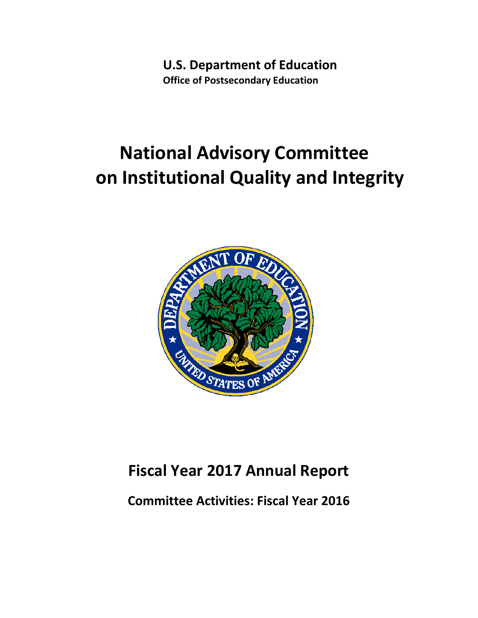**U.S. Department of Education Office of Postsecondary Education** 

# **National Advisory Committee on Institutional Quality and Integrity**



## **Fiscal Year 2017 Annual Report**

**Committee Activities: Fiscal Year 2016**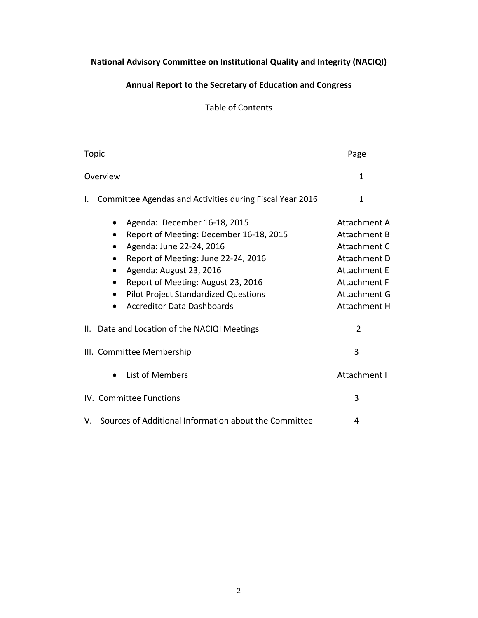### **National Advisory Committee on Institutional Quality and Integrity (NACIQI)**

#### **Annual Report to the Secretary of Education and Congress**

#### Table of Contents

| Topic                                                                                                                                                                                                                                                                                                        | Page                                                                                                                                              |
|--------------------------------------------------------------------------------------------------------------------------------------------------------------------------------------------------------------------------------------------------------------------------------------------------------------|---------------------------------------------------------------------------------------------------------------------------------------------------|
| Overview                                                                                                                                                                                                                                                                                                     | 1                                                                                                                                                 |
| Committee Agendas and Activities during Fiscal Year 2016<br>I.                                                                                                                                                                                                                                               | 1                                                                                                                                                 |
| Agenda: December 16-18, 2015<br>Report of Meeting: December 16-18, 2015<br>Agenda: June 22-24, 2016<br>Report of Meeting: June 22-24, 2016<br>Agenda: August 23, 2016<br>Report of Meeting: August 23, 2016<br><b>Pilot Project Standardized Questions</b><br>$\bullet$<br><b>Accreditor Data Dashboards</b> | Attachment A<br>Attachment B<br>Attachment C<br>Attachment D<br><b>Attachment E</b><br>Attachment F<br><b>Attachment G</b><br><b>Attachment H</b> |
| II. Date and Location of the NACIQI Meetings                                                                                                                                                                                                                                                                 | $\overline{2}$                                                                                                                                    |
| III. Committee Membership                                                                                                                                                                                                                                                                                    | 3                                                                                                                                                 |
| List of Members                                                                                                                                                                                                                                                                                              | Attachment I                                                                                                                                      |
| IV. Committee Functions                                                                                                                                                                                                                                                                                      | 3                                                                                                                                                 |
| V. Sources of Additional Information about the Committee                                                                                                                                                                                                                                                     | 4                                                                                                                                                 |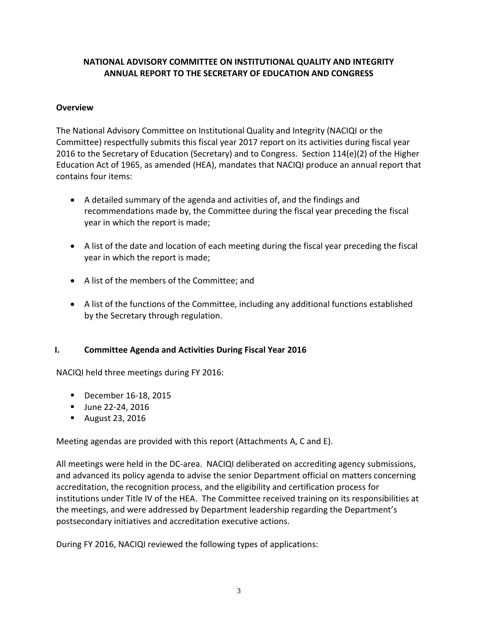#### **NATIONAL ADVISORY COMMITTEE ON INSTITUTIONAL QUALITY AND INTEGRITY ANNUAL REPORT TO THE SECRETARY OF EDUCATION AND CONGRESS**

#### **Overview**

The National Advisory Committee on Institutional Quality and Integrity (NACIQI or the Committee) respectfully submits this fiscal year 2017 report on its activities during fiscal year 2016 to the Secretary of Education (Secretary) and to Congress. Section 114(e)(2) of the Higher Education Act of 1965, as amended (HEA), mandates that NACIQI produce an annual report that contains four items:

- A detailed summary of the agenda and activities of, and the findings and recommendations made by, the Committee during the fiscal year preceding the fiscal year in which the report is made;
- A list of the date and location of each meeting during the fiscal year preceding the fiscal year in which the report is made;
- A list of the members of the Committee; and
- A list of the functions of the Committee, including any additional functions established by the Secretary through regulation.

#### **I. Committee Agenda and Activities During Fiscal Year 2016**

NACIQI held three meetings during FY 2016:

- **December 16-18, 2015**
- **June 22-24, 2016**
- August 23, 2016

Meeting agendas are provided with this report (Attachments A, C and E).

All meetings were held in the DC-area. NACIQI deliberated on accrediting agency submissions, and advanced its policy agenda to advise the senior Department official on matters concerning accreditation, the recognition process, and the eligibility and certification process for institutions under Title IV of the HEA. The Committee received training on its responsibilities at the meetings, and were addressed by Department leadership regarding the Department's postsecondary initiatives and accreditation executive actions.

During FY 2016, NACIQI reviewed the following types of applications: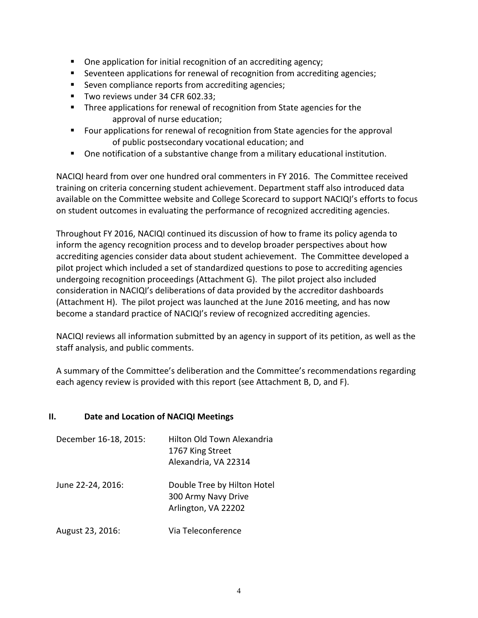- One application for initial recognition of an accrediting agency;
- Seventeen applications for renewal of recognition from accrediting agencies;
- Seven compliance reports from accrediting agencies;
- Two reviews under 34 CFR 602.33;
- Three applications for renewal of recognition from State agencies for the approval of nurse education;
- **FIM** Four applications for renewal of recognition from State agencies for the approval of public postsecondary vocational education; and
- One notification of a substantive change from a military educational institution.

NACIQI heard from over one hundred oral commenters in FY 2016. The Committee received training on criteria concerning student achievement. Department staff also introduced data available on the Committee website and College Scorecard to support NACIQI's efforts to focus on student outcomes in evaluating the performance of recognized accrediting agencies.

Throughout FY 2016, NACIQI continued its discussion of how to frame its policy agenda to inform the agency recognition process and to develop broader perspectives about how accrediting agencies consider data about student achievement. The Committee developed a pilot project which included a set of standardized questions to pose to accrediting agencies undergoing recognition proceedings (Attachment G). The pilot project also included consideration in NACIQI's deliberations of data provided by the accreditor dashboards (Attachment H). The pilot project was launched at the June 2016 meeting, and has now become a standard practice of NACIQI's review of recognized accrediting agencies.

NACIQI reviews all information submitted by an agency in support of its petition, as well as the staff analysis, and public comments.

A summary of the Committee's deliberation and the Committee's recommendations regarding each agency review is provided with this report (see Attachment B, D, and F).

#### **II. Date and Location of NACIQI Meetings**

| December 16-18, 2015: | Hilton Old Town Alexandria<br>1767 King Street<br>Alexandria, VA 22314    |
|-----------------------|---------------------------------------------------------------------------|
| June 22-24, 2016:     | Double Tree by Hilton Hotel<br>300 Army Navy Drive<br>Arlington, VA 22202 |
| August 23, 2016:      | Via Teleconference                                                        |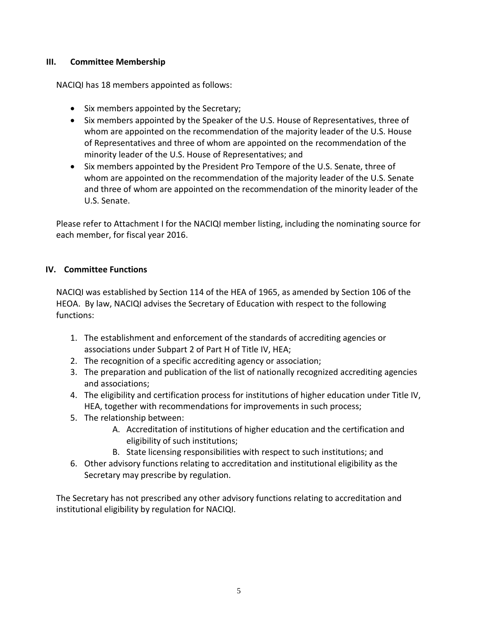#### **III. Committee Membership**

NACIQI has 18 members appointed as follows:

- Six members appointed by the Secretary;
- Six members appointed by the Speaker of the U.S. House of Representatives, three of whom are appointed on the recommendation of the majority leader of the U.S. House of Representatives and three of whom are appointed on the recommendation of the minority leader of the U.S. House of Representatives; and
- Six members appointed by the President Pro Tempore of the U.S. Senate, three of whom are appointed on the recommendation of the majority leader of the U.S. Senate and three of whom are appointed on the recommendation of the minority leader of the U.S. Senate.

Please refer to Attachment I for the NACIQI member listing, including the nominating source for each member, for fiscal year 2016.

#### **IV. Committee Functions**

NACIQI was established by Section 114 of the HEA of 1965, as amended by Section 106 of the HEOA. By law, NACIQI advises the Secretary of Education with respect to the following functions:

- 1. The establishment and enforcement of the standards of accrediting agencies or associations under Subpart 2 of Part H of Title IV, HEA;
- 2. The recognition of a specific accrediting agency or association;
- 3. The preparation and publication of the list of nationally recognized accrediting agencies and associations;
- 4. The eligibility and certification process for institutions of higher education under Title IV, HEA, together with recommendations for improvements in such process;
- 5. The relationship between:
	- A. Accreditation of institutions of higher education and the certification and eligibility of such institutions;
	- B. State licensing responsibilities with respect to such institutions; and
- 6. Other advisory functions relating to accreditation and institutional eligibility as the Secretary may prescribe by regulation.

The Secretary has not prescribed any other advisory functions relating to accreditation and institutional eligibility by regulation for NACIQI.